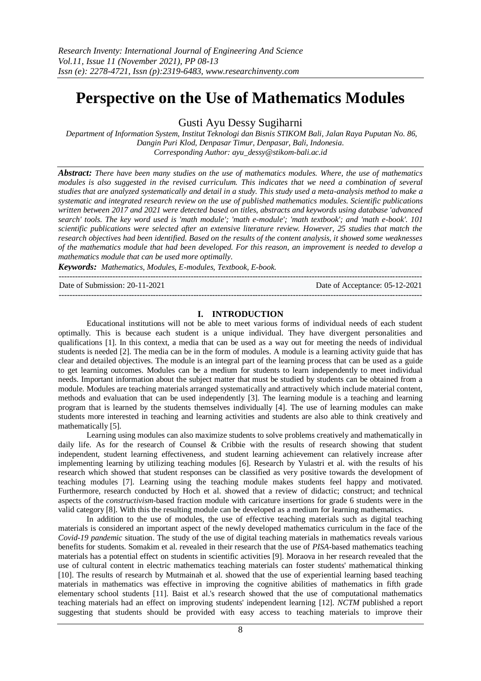# **Perspective on the Use of Mathematics Modules**

Gusti Ayu Dessy Sugiharni

*Department of Information System, Institut Teknologi dan Bisnis STIKOM Bali, Jalan Raya Puputan No. 86, Dangin Puri Klod, Denpasar Timur, Denpasar, Bali, Indonesia. Corresponding Author: ayu\_dessy@stikom-bali.ac.id*

*Abstract: There have been many studies on the use of mathematics modules. Where, the use of mathematics*  modules is also suggested in the revised curriculum. This indicates that we need a combination of several *studies that are analyzed systematically and detail in a study. This study used a meta-analysis method to make a systematic and integrated research review on the use of published mathematics modules. Scientific publications written between 2017 and 2021 were detected based on titles, abstracts and keywords using database 'advanced search' tools. The key word used is 'math module'; 'math e-module'; 'math textbook'; and 'math e-book'. 101 scientific publications were selected after an extensive literature review. However, 25 studies that match the research objectives had been identified. Based on the results of the content analysis, it showed some weaknesses of the mathematics module that had been developed. For this reason, an improvement is needed to develop a mathematics module that can be used more optimally.*

*Keywords: Mathematics, Modules, E-modules, Textbook, E-book.* ---------------------------------------------------------------------------------------------------------------------------------------

Date of Submission: 20-11-2021 Date of Acceptance: 05-12-2021

## **I. INTRODUCTION**

---------------------------------------------------------------------------------------------------------------------------------------

Educational institutions will not be able to meet various forms of individual needs of each student optimally. This is because each student is a unique individual. They have divergent personalities and qualifications [1]. In this context, a media that can be used as a way out for meeting the needs of individual students is needed [2]. The media can be in the form of modules. A module is a learning activity guide that has clear and detailed objectives. The module is an integral part of the learning process that can be used as a guide to get learning outcomes. Modules can be a medium for students to learn independently to meet individual needs. Important information about the subject matter that must be studied by students can be obtained from a module. Modules are teaching materials arranged systematically and attractively which include material content, methods and evaluation that can be used independently [3]. The learning module is a teaching and learning program that is learned by the students themselves individually [4]. The use of learning modules can make students more interested in teaching and learning activities and students are also able to think creatively and mathematically [5].

Learning using modules can also maximize students to solve problems creatively and mathematically in daily life. As for the research of Counsel & Cribbie with the results of research showing that student independent, student learning effectiveness, and student learning achievement can relatively increase after implementing learning by utilizing teaching modules [6]. Research by Yulastri et al. with the results of his research which showed that student responses can be classified as very positive towards the development of teaching modules [7]. Learning using the teaching module makes students feel happy and motivated. Furthermore, research conducted by Hoch et al. showed that a review of didactic; construct; and technical aspects of the *constructivism*-based fraction module with caricature insertions for grade 6 students were in the valid category [8]. With this the resulting module can be developed as a medium for learning mathematics.

In addition to the use of modules, the use of effective teaching materials such as digital teaching materials is considered an important aspect of the newly developed mathematics curriculum in the face of the *Covid-19 pandemic* situation. The study of the use of digital teaching materials in mathematics reveals various benefits for students. Somakim et al. revealed in their research that the use of *PISA*-based mathematics teaching materials has a potential effect on students in scientific activities [9]. Moraova in her research revealed that the use of cultural content in electric mathematics teaching materials can foster students' mathematical thinking [10]. The results of research by Mutmainah et al. showed that the use of experiential learning based teaching materials in mathematics was effective in improving the cognitive abilities of mathematics in fifth grade elementary school students [11]. Baist et al.'s research showed that the use of computational mathematics teaching materials had an effect on improving students' independent learning [12]. *NCTM* published a report suggesting that students should be provided with easy access to teaching materials to improve their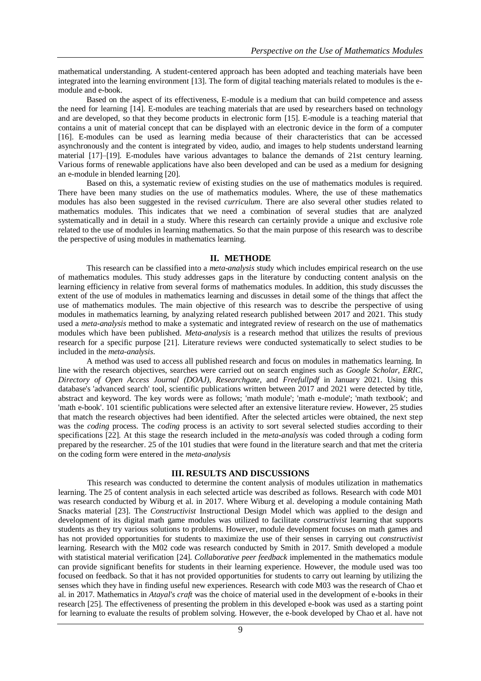mathematical understanding. A student-centered approach has been adopted and teaching materials have been integrated into the learning environment [13]. The form of digital teaching materials related to modules is the emodule and e-book.

Based on the aspect of its effectiveness, E-module is a medium that can build competence and assess the need for learning [14]. E-modules are teaching materials that are used by researchers based on technology and are developed, so that they become products in electronic form [15]. E-module is a teaching material that contains a unit of material concept that can be displayed with an electronic device in the form of a computer [16]. E-modules can be used as learning media because of their characteristics that can be accessed asynchronously and the content is integrated by video, audio, and images to help students understand learning material [17]–[19]. E-modules have various advantages to balance the demands of 21st century learning. Various forms of renewable applications have also been developed and can be used as a medium for designing an e-module in blended learning [20].

Based on this, a systematic review of existing studies on the use of mathematics modules is required. There have been many studies on the use of mathematics modules. Where, the use of these mathematics modules has also been suggested in the revised *curriculum*. There are also several other studies related to mathematics modules. This indicates that we need a combination of several studies that are analyzed systematically and in detail in a study. Where this research can certainly provide a unique and exclusive role related to the use of modules in learning mathematics. So that the main purpose of this research was to describe the perspective of using modules in mathematics learning.

## **II. METHODE**

This research can be classified into a *meta-analysis* study which includes empirical research on the use of mathematics modules. This study addresses gaps in the literature by conducting content analysis on the learning efficiency in relative from several forms of mathematics modules. In addition, this study discusses the extent of the use of modules in mathematics learning and discusses in detail some of the things that affect the use of mathematics modules. The main objective of this research was to describe the perspective of using modules in mathematics learning, by analyzing related research published between 2017 and 2021. This study used a *meta-analysis* method to make a systematic and integrated review of research on the use of mathematics modules which have been published. *Meta-analysis* is a research method that utilizes the results of previous research for a specific purpose [21]. Literature reviews were conducted systematically to select studies to be included in the *meta-analysis*.

A method was used to access all published research and focus on modules in mathematics learning. In line with the research objectives, searches were carried out on search engines such as *Google Scholar, ERIC, Directory of Open Access Journal (DOAJ), Researchgate*, and *Freefullpdf* in January 2021. Using this database's 'advanced search' tool, scientific publications written between 2017 and 2021 were detected by title, abstract and keyword. The key words were as follows; 'math module'; 'math e-module'; 'math textbook'; and 'math e-book'. 101 scientific publications were selected after an extensive literature review. However, 25 studies that match the research objectives had been identified. After the selected articles were obtained, the next step was the *coding* process. The *coding* process is an activity to sort several selected studies according to their specifications [22]. At this stage the research included in the *meta-analysis* was coded through a coding form prepared by the researcher. 25 of the 101 studies that were found in the literature search and that met the criteria on the coding form were entered in the *meta-analysis*

## **III. RESULTS AND DISCUSSIONS**

This research was conducted to determine the content analysis of modules utilization in mathematics learning. The 25 of content analysis in each selected article was described as follows. Research with code M01 was research conducted by Wiburg et al. in 2017. Where Wiburg et al. developing a module containing Math Snacks material [23]. The *Constructivist* Instructional Design Model which was applied to the design and development of its digital math game modules was utilized to facilitate *constructivist* learning that supports students as they try various solutions to problems. However, module development focuses on math games and has not provided opportunities for students to maximize the use of their senses in carrying out *constructivist* learning. Research with the M02 code was research conducted by Smith in 2017. Smith developed a module with statistical material verification [24]. *Collaborative peer feedback* implemented in the mathematics module can provide significant benefits for students in their learning experience. However, the module used was too focused on feedback. So that it has not provided opportunities for students to carry out learning by utilizing the senses which they have in finding useful new experiences. Research with code M03 was the research of Chao et al. in 2017. Mathematics in *Atayal's craft* was the choice of material used in the development of e-books in their research [25]. The effectiveness of presenting the problem in this developed e-book was used as a starting point for learning to evaluate the results of problem solving. However, the e-book developed by Chao et al. have not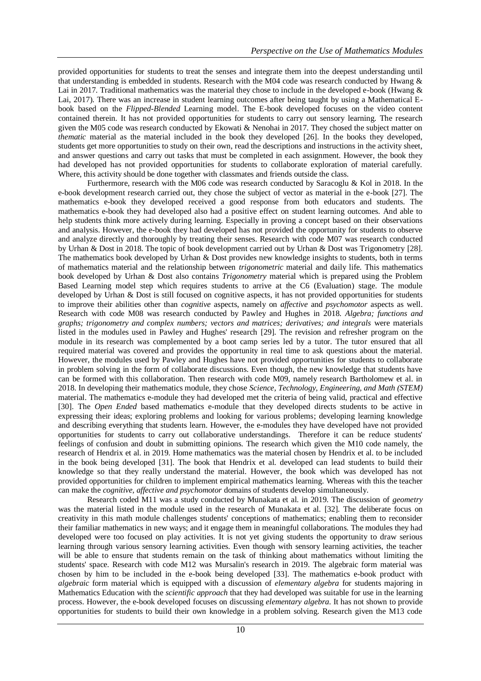provided opportunities for students to treat the senses and integrate them into the deepest understanding until that understanding is embedded in students. Research with the M04 code was research conducted by Hwang & Lai in 2017. Traditional mathematics was the material they chose to include in the developed e-book (Hwang & Lai, 2017). There was an increase in student learning outcomes after being taught by using a Mathematical Ebook based on the *Flipped-Blended* Learning model. The E-book developed focuses on the video content contained therein. It has not provided opportunities for students to carry out sensory learning. The research given the M05 code was research conducted by Ekowati & Nenohai in 2017. They chosed the subject matter on *thematic* material as the material included in the book they developed [26]. In the books they developed, students get more opportunities to study on their own, read the descriptions and instructions in the activity sheet, and answer questions and carry out tasks that must be completed in each assignment. However, the book they had developed has not provided opportunities for students to collaborate exploration of material carefully. Where, this activity should be done together with classmates and friends outside the class.

Furthermore, research with the M06 code was research conducted by Saracoglu & Kol in 2018. In the e-book development research carried out, they chose the subject of vector as material in the e-book [27]. The mathematics e-book they developed received a good response from both educators and students. The mathematics e-book they had developed also had a positive effect on student learning outcomes. And able to help students think more actively during learning. Especially in proving a concept based on their observations and analysis. However, the e-book they had developed has not provided the opportunity for students to observe and analyze directly and thoroughly by treating their senses. Research with code M07 was research conducted by Urhan & Dost in 2018. The topic of book development carried out by Urhan & Dost was Trigonometry [28]. The mathematics book developed by Urhan & Dost provides new knowledge insights to students, both in terms of mathematics material and the relationship between *trigonometric* material and daily life. This mathematics book developed by Urhan & Dost also contains *Trigonometry* material which is prepared using the Problem Based Learning model step which requires students to arrive at the C6 (Evaluation) stage. The module developed by Urhan & Dost is still focused on cognitive aspects, it has not provided opportunities for students to improve their abilities other than *cognitive* aspects, namely on *affective* and *psychomotor* aspects as well. Research with code M08 was research conducted by Pawley and Hughes in 2018. *Algebra; functions and graphs; trigonometry and complex numbers; vectors and matrices; derivatives; and integrals* were materials listed in the modules used in Pawley and Hughes' research [29]. The revision and refresher program on the module in its research was complemented by a boot camp series led by a tutor. The tutor ensured that all required material was covered and provides the opportunity in real time to ask questions about the material. However, the modules used by Pawley and Hughes have not provided opportunities for students to collaborate in problem solving in the form of collaborate discussions. Even though, the new knowledge that students have can be formed with this collaboration. Then research with code M09, namely research Bartholomew et al. in 2018. In developing their mathematics module, they chose *Science, Technology, Engineering, and Math (STEM)*  material. The mathematics e-module they had developed met the criteria of being valid, practical and effective [30]. The *Open Ended* based mathematics e-module that they developed directs students to be active in expressing their ideas; exploring problems and looking for various problems; developing learning knowledge and describing everything that students learn. However, the e-modules they have developed have not provided opportunities for students to carry out collaborative understandings. Therefore it can be reduce students' feelings of confusion and doubt in submitting opinions. The research which given the M10 code namely, the research of Hendrix et al. in 2019. Home mathematics was the material chosen by Hendrix et al. to be included in the book being developed [31]. The book that Hendrix et al. developed can lead students to build their knowledge so that they really understand the material. However, the book which was developed has not provided opportunities for children to implement empirical mathematics learning. Whereas with this the teacher can make the *cognitive, affective and psychomotor* domains of students develop simultaneously.

Research coded M11 was a study conducted by Munakata et al. in 2019. The discussion of *geometry* was the material listed in the module used in the research of Munakata et al. [32]. The deliberate focus on creativity in this math module challenges students' conceptions of mathematics; enabling them to reconsider their familiar mathematics in new ways; and it engage them in meaningful collaborations. The modules they had developed were too focused on play activities. It is not yet giving students the opportunity to draw serious learning through various sensory learning activities. Even though with sensory learning activities, the teacher will be able to ensure that students remain on the task of thinking about mathematics without limiting the students' space. Research with code M12 was Mursalin's research in 2019. The algebraic form material was chosen by him to be included in the e-book being developed [33]. The mathematics e-book product with *algebraic* form material which is equipped with a discussion of *elementary algebra* for students majoring in Mathematics Education with the *scientific approach* that they had developed was suitable for use in the learning process. However, the e-book developed focuses on discussing *elementary algebra*. It has not shown to provide opportunities for students to build their own knowledge in a problem solving. Research given the M13 code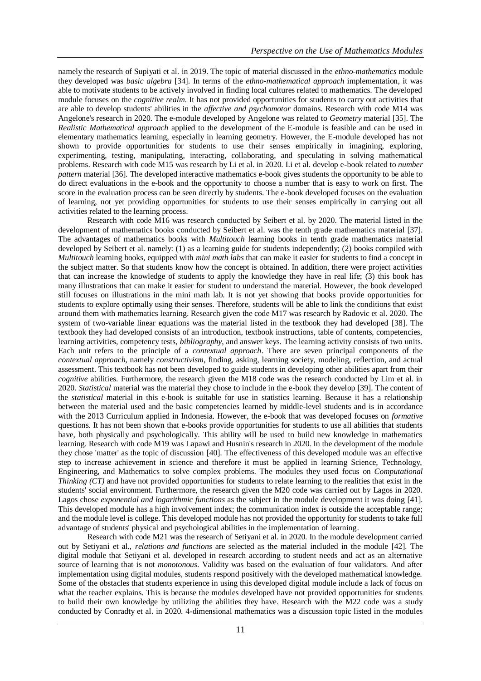namely the research of Supiyati et al. in 2019. The topic of material discussed in the *ethno-mathematics* module they developed was *basic algebra* [34]. In terms of the *ethno-mathematical approach* implementation, it was able to motivate students to be actively involved in finding local cultures related to mathematics. The developed module focuses on the *cognitive realm*. It has not provided opportunities for students to carry out activities that are able to develop students' abilities in the *affective and psychomotor* domains. Research with code M14 was Angelone's research in 2020. The e-module developed by Angelone was related to *Geometry* material [35]. The *Realistic Mathematical approach* applied to the development of the E-module is feasible and can be used in elementary mathematics learning, especially in learning geometry. However, the E-module developed has not shown to provide opportunities for students to use their senses empirically in imagining, exploring, experimenting, testing, manipulating, interacting, collaborating, and speculating in solving mathematical problems. Research with code M15 was research by Li et al. in 2020. Li et al. develop e-book related to *number pattern* material [36]. The developed interactive mathematics e-book gives students the opportunity to be able to do direct evaluations in the e-book and the opportunity to choose a number that is easy to work on first. The score in the evaluation process can be seen directly by students. The e-book developed focuses on the evaluation of learning, not yet providing opportunities for students to use their senses empirically in carrying out all activities related to the learning process.

Research with code M16 was research conducted by Seibert et al. by 2020. The material listed in the development of mathematics books conducted by Seibert et al. was the tenth grade mathematics material [37]. The advantages of mathematics books with *Multitouch* learning books in tenth grade mathematics material developed by Seibert et al. namely: (1) as a learning guide for students independently; (2) books compiled with *Multitouch* learning books, equipped with *mini math labs* that can make it easier for students to find a concept in the subject matter. So that students know how the concept is obtained. In addition, there were project activities that can increase the knowledge of students to apply the knowledge they have in real life; (3) this book has many illustrations that can make it easier for student to understand the material. However, the book developed still focuses on illustrations in the mini math lab. It is not yet showing that books provide opportunities for students to explore optimally using their senses. Therefore, students will be able to link the conditions that exist around them with mathematics learning. Research given the code M17 was research by Radovic et al. 2020. The system of two-variable linear equations was the material listed in the textbook they had developed [38]. The textbook they had developed consists of an introduction, textbook instructions, table of contents, competencies, learning activities, competency tests, *bibliography*, and answer keys. The learning activity consists of two units. Each unit refers to the principle of a *contextual approach*. There are seven principal components of the *contextual approach*, namely *constructivism*, finding, asking, learning society, modeling, reflection, and actual assessment. This textbook has not been developed to guide students in developing other abilities apart from their *cognitive* abilities. Furthermore, the research given the M18 code was the research conducted by Lim et al. in 2020. *Statistical* material was the material they chose to include in the e-book they develop [39]. The content of the *statistical* material in this e-book is suitable for use in statistics learning. Because it has a relationship between the material used and the basic competencies learned by middle-level students and is in accordance with the 2013 Curriculum applied in Indonesia. However, the e-book that was developed focuses on *formative* questions. It has not been shown that e-books provide opportunities for students to use all abilities that students have, both physically and psychologically. This ability will be used to build new knowledge in mathematics learning. Research with code M19 was Lapawi and Husnin's research in 2020. In the development of the module they chose 'matter' as the topic of discussion [40]. The effectiveness of this developed module was an effective step to increase achievement in science and therefore it must be applied in learning Science, Technology, Engineering, and Mathematics to solve complex problems. The modules they used focus on *Computational Thinking (CT)* and have not provided opportunities for students to relate learning to the realities that exist in the students' social environment. Furthermore, the research given the M20 code was carried out by Lagos in 2020. Lagos chose *exponential and logarithmic functions* as the subject in the module development it was doing [41]. This developed module has a high involvement index; the communication index is outside the acceptable range; and the module level is college. This developed module has not provided the opportunity for students to take full advantage of students' physical and psychological abilities in the implementation of learning.

Research with code M21 was the research of Setiyani et al. in 2020. In the module development carried out by Setiyani et al., *relations and functions* are selected as the material included in the module [42]. The digital module that Setiyani et al. developed in research according to student needs and act as an alternative source of learning that is not *monotonous*. Validity was based on the evaluation of four validators. And after implementation using digital modules, students respond positively with the developed mathematical knowledge. Some of the obstacles that students experience in using this developed digital module include a lack of focus on what the teacher explains. This is because the modules developed have not provided opportunities for students to build their own knowledge by utilizing the abilities they have. Research with the M22 code was a study conducted by Conradty et al. in 2020. 4-dimensional mathematics was a discussion topic listed in the modules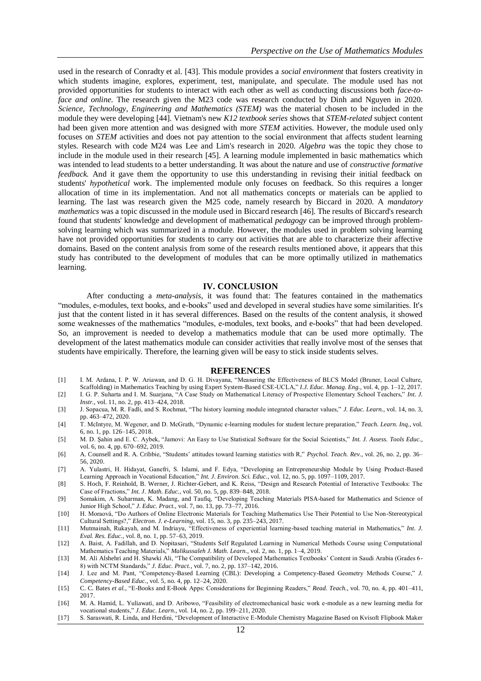used in the research of Conradty et al. [43]. This module provides a *social environment* that fosters creativity in which students imagine, explores, experiment, test, manipulate, and speculate. The module used has not provided opportunities for students to interact with each other as well as conducting discussions both *face-toface and online*. The research given the M23 code was research conducted by Dinh and Nguyen in 2020. *Science, Technology, Engineering and Mathematics (STEM)* was the material chosen to be included in the module they were developing [44]. Vietnam's new *K12 textbook series* shows that *STEM-related* subject content had been given more attention and was designed with more *STEM* activities. However, the module used only focuses on *STEM* activities and does not pay attention to the social environment that affects student learning styles. Research with code M24 was Lee and Lim's research in 2020. *Algebra* was the topic they chose to include in the module used in their research [45]. A learning module implemented in basic mathematics which was intended to lead students to a better understanding. It was about the nature and use of *constructive formative feedback*. And it gave them the opportunity to use this understanding in revising their initial feedback on students' *hypothetical* work. The implemented module only focuses on feedback. So this requires a longer allocation of time in its implementation. And not all mathematics concepts or materials can be applied to learning. The last was research given the M25 code, namely research by Biccard in 2020. A *mandatory mathematics* was a topic discussed in the module used in Biccard research [46]. The results of Biccard's research found that students' knowledge and development of mathematical *pedagogy* can be improved through problemsolving learning which was summarized in a module. However, the modules used in problem solving learning have not provided opportunities for students to carry out activities that are able to characterize their affective domains. Based on the content analysis from some of the research results mentioned above, it appears that this study has contributed to the development of modules that can be more optimally utilized in mathematics learning.

#### **IV. CONCLUSION**

After conducting a *meta-analysis*, it was found that: The features contained in the mathematics "modules, e-modules, text books, and e-books" used and developed in several studies have some similarities. It's just that the content listed in it has several differences. Based on the results of the content analysis, it showed some weaknesses of the mathematics "modules, e-modules, text books, and e-books" that had been developed. So, an improvement is needed to develop a mathematics module that can be used more optimally. The development of the latest mathematics module can consider activities that really involve most of the senses that students have empirically. Therefore, the learning given will be easy to stick inside students selves.

#### **REFERENCES**

- [1] I. M. Ardana, I. P. W. Ariawan, and D. G. H. Divayana, "Measuring the Effectiveness of BLCS Model (Bruner, Local Culture, Scaffolding) in Mathematics Teaching by using Expert System-Based CSE-UCLA," *I.J. Educ. Manag. Eng.*, vol. 4, pp. 1–12, 2017.
- [2] I. G. P. Suharta and I. M. Suarjana, "A Case Study on Mathematical Literacy of Prospective Elementary School Teachers," *Int. J. Instr.*, vol. 11, no. 2, pp. 413–424, 2018.
- [3] J. Sopacua, M. R. Fadli, and S. Rochmat, "The history learning module integrated character values," *J. Educ. Learn.*, vol. 14, no. 3, pp. 463–472, 2020.
- [4] T. McIntyre, M. Wegener, and D. McGrath, "Dynamic e-learning modules for student lecture preparation," *Teach. Learn. Inq.*, vol. 6, no. 1, pp. 126–145, 2018.
- [5] M. D. Şahin and E. C. Aybek, "Jamovi: An Easy to Use Statistical Software for the Social Scientists," *Int. J. Assess. Tools Educ.*, vol. 6, no. 4, pp. 670–692, 2019.
- [6] A. Counsell and R. A. Cribbie, "Students' attitudes toward learning statistics with R," *Psychol. Teach. Rev.*, vol. 26, no. 2, pp. 36– 56, 2020.
- [7] A. Yulastri, H. Hidayat, Ganefri, S. Islami, and F. Edya, "Developing an Entrepreneurship Module by Using Product-Based Learning Approach in Vocational Education," *Int. J. Environ. Sci. Educ.*, vol. 12, no. 5, pp. 1097–1109, 2017.
- [8] S. Hoch, F. Reinhold, B. Werner, J. Richter-Gebert, and K. Reiss, "Design and Research Potential of Interactive Textbooks: The Case of Fractions," *Int. J. Math. Educ.*, vol. 50, no. 5, pp. 839–848, 2018.
- [9] Somakim, A. Suharman, K. Madang, and Taufiq, "Developing Teaching Materials PISA-based for Mathematics and Science of Junior High School," *J. Educ. Pract.*, vol. 7, no. 13, pp. 73–77, 2016.
- [10] H. Moraová, "Do Authors of Online Electronic Materials for Teaching Mathematics Use Their Potential to Use Non-Stereotypical Cultural Settings?," *Electron. J. e-Learning*, vol. 15, no. 3, pp. 235–243, 2017.
- [11] Mutmainah, Rukayah, and M. Indriayu, "Effectiveness of experiential learning-based teaching material in Mathematics," *Int. J. Eval. Res. Educ.*, vol. 8, no. 1, pp. 57–63, 2019.
- [12] A. Baist, A. Fadillah, and D. Nopitasari, "Students Self Regulated Learning in Numerical Methods Course using Computational Mathematics Teaching Materials," *Malikussaleh J. Math. Learn.*, vol. 2, no. 1, pp. 1–4, 2019.
- [13] M. Ali Alshehri and H. Shawki Ali, "The Compatibility of Developed Mathematics Textbooks' Content in Saudi Arabia (Grades 6- 8) with NCTM Standards," *J. Educ. Pract.*, vol. 7, no. 2, pp. 137–142, 2016.
- [14] J. Lee and M. Pant, "Competency-Based Learning (CBL): Developing a Competency-Based Geometry Methods Course," *J. Competency-Based Educ.*, vol. 5, no. 4, pp. 12–24, 2020.
- [15] C. C. Bates *et al.*, "E-Books and E-Book Apps: Considerations for Beginning Readers," *Read. Teach.*, vol. 70, no. 4, pp. 401–411, 2017.
- [16] M. A. Hamid, L. Yuliawati, and D. Aribowo, "Feasibility of electromechanical basic work e-module as a new learning media for vocational students," *J. Educ. Learn.*, vol. 14, no. 2, pp. 199–211, 2020.
- [17] S. Saraswati, R. Linda, and Herdini, "Development of Interactive E-Module Chemistry Magazine Based on Kvisoft Flipbook Maker